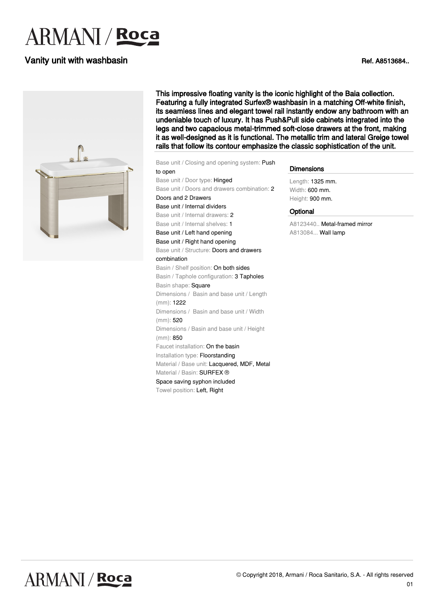# **ARMANI** / Roca

#### Vanity unit with washbasin **National Struck of the Contract Contract Contract Contract Contract Contract Contract Contract Contract Contract Contract Contract Contract Contract Contract Contract Contract Contract Contract**



This impressive floating vanity is the iconic highlight of the Baia collection. Featuring a fully integrated Surfex® washbasin in a matching Off-white finish, its seamless lines and elegant towel rail instantly endow any bathroom with an undeniable touch of luxury. It has Push&Pull side cabinets integrated into the legs and two capacious metal-trimmed soft-close drawers at the front, making it as well-designed as it is functional. The metallic trim and lateral Greige towel rails that follow its contour emphasize the classic sophistication of the unit.

Base unit / Closing and opening system: Push to open Base unit / Door type: Hinged Base unit / Doors and drawers combination: 2 Doors and 2 Drawers Base unit / Internal dividers Base unit / Internal drawers: 2 Base unit / Internal shelves: 1 Base unit / Left hand opening Base unit / Right hand opening Base unit / Structure: Doors and drawers combination Basin / Shelf position: On both sides Basin / Taphole configuration: 3 Tapholes Basin shape: Square Dimensions / Basin and base unit / Length (mm): 1222 Dimensions / Basin and base unit / Width (mm): 520 Dimensions / Basin and base unit / Height (mm): 850 Faucet installation: On the basin Installation type: Floorstanding Material / Base unit: Lacquered, MDF, Metal Material / Basin: SURFEX ® Space saving syphon included Towel position: Left, Right

#### **Dimensions**

Length: 1325 mm. Width: 600 mm. Height: 900 mm.

#### **Optional**

A8123440.. Metal-framed mirror A813084... Wall lamp

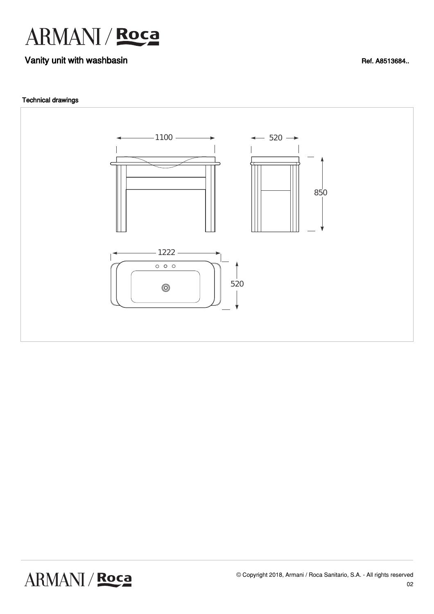

## Vanity unit with washbasin **Vanity 1999** No. 2012 12:30 No. 2013 12:30 No. 2014 12:30 No. 2014 12:30 No. 2014 12:30 No. 2014 12:30 No. 2014 12:30 No. 2014 12:30 No. 2014 12:30 No. 2014 12:30 No. 2014 12:30 No. 2014 12:30 N

#### Technical drawings



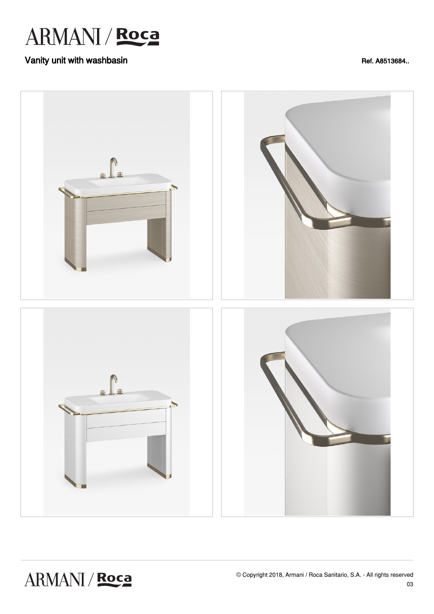

## Vanity unit with washbasin **Vanity 1999** No. 2012 12:30 No. 2013 12:30 No. 2014 12:30 No. 2014 12:30 No. 2014 12:30